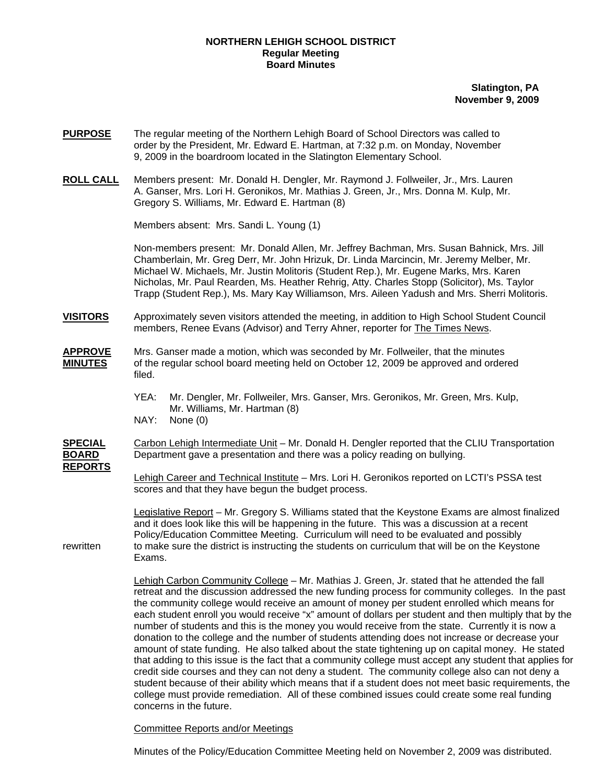## **NORTHERN LEHIGH SCHOOL DISTRICT Regular Meeting Board Minutes**

**Slatington, PA November 9, 2009**

- **PURPOSE** The regular meeting of the Northern Lehigh Board of School Directors was called to order by the President, Mr. Edward E. Hartman, at 7:32 p.m. on Monday, November 9, 2009 in the boardroom located in the Slatington Elementary School.
- **ROLL CALL** Members present: Mr. Donald H. Dengler, Mr. Raymond J. Follweiler, Jr., Mrs. Lauren A. Ganser, Mrs. Lori H. Geronikos, Mr. Mathias J. Green, Jr., Mrs. Donna M. Kulp, Mr. Gregory S. Williams, Mr. Edward E. Hartman (8)

Members absent: Mrs. Sandi L. Young (1)

Non-members present: Mr. Donald Allen, Mr. Jeffrey Bachman, Mrs. Susan Bahnick, Mrs. Jill Chamberlain, Mr. Greg Derr, Mr. John Hrizuk, Dr. Linda Marcincin, Mr. Jeremy Melber, Mr. Michael W. Michaels, Mr. Justin Molitoris (Student Rep.), Mr. Eugene Marks, Mrs. Karen Nicholas, Mr. Paul Rearden, Ms. Heather Rehrig, Atty. Charles Stopp (Solicitor), Ms. Taylor Trapp (Student Rep.), Ms. Mary Kay Williamson, Mrs. Aileen Yadush and Mrs. Sherri Molitoris.

**VISITORS** Approximately seven visitors attended the meeting, in addition to High School Student Council members, Renee Evans (Advisor) and Terry Ahner, reporter for The Times News.

**APPROVE** Mrs. Ganser made a motion, which was seconded by Mr. Follweiler, that the minutes **MINUTES** of the regular school board meeting held on October 12, 2009 be approved and ordered filed.

> YEA: Mr. Dengler, Mr. Follweiler, Mrs. Ganser, Mrs. Geronikos, Mr. Green, Mrs. Kulp, Mr. Williams, Mr. Hartman (8)

NAY: None (0)

**SPECIAL** Carbon Lehigh Intermediate Unit – Mr. Donald H. Dengler reported that the CLIU Transportation **BOARD** Department gave a presentation and there was a policy reading on bullying. **REPORTS**

> Lehigh Career and Technical Institute – Mrs. Lori H. Geronikos reported on LCTI's PSSA test scores and that they have begun the budget process.

Legislative Report – Mr. Gregory S. Williams stated that the Keystone Exams are almost finalized and it does look like this will be happening in the future. This was a discussion at a recent Policy/Education Committee Meeting. Curriculum will need to be evaluated and possibly rewritten to make sure the district is instructing the students on curriculum that will be on the Keystone Exams.

> Lehigh Carbon Community College – Mr. Mathias J. Green, Jr. stated that he attended the fall retreat and the discussion addressed the new funding process for community colleges. In the past the community college would receive an amount of money per student enrolled which means for each student enroll you would receive "x" amount of dollars per student and then multiply that by the number of students and this is the money you would receive from the state. Currently it is now a donation to the college and the number of students attending does not increase or decrease your amount of state funding. He also talked about the state tightening up on capital money. He stated that adding to this issue is the fact that a community college must accept any student that applies for credit side courses and they can not deny a student. The community college also can not deny a student because of their ability which means that if a student does not meet basic requirements, the college must provide remediation. All of these combined issues could create some real funding concerns in the future.

Committee Reports and/or Meetings

Minutes of the Policy/Education Committee Meeting held on November 2, 2009 was distributed.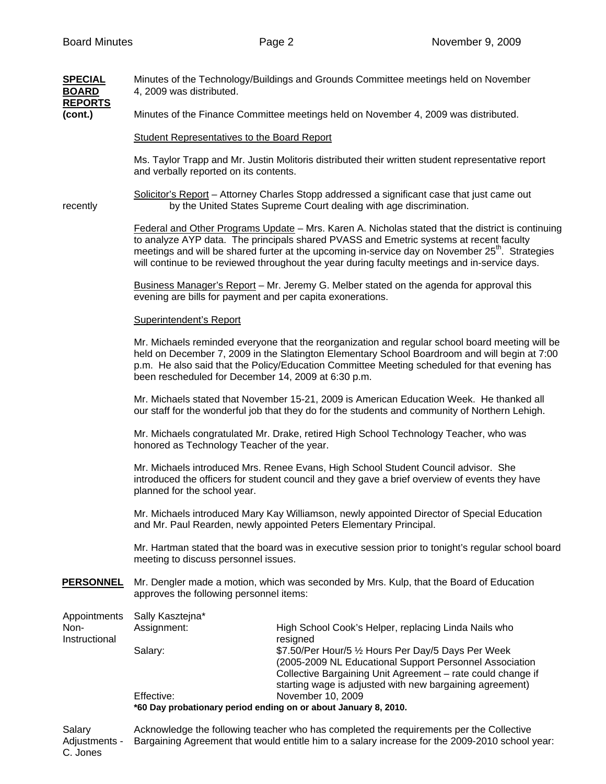| <b>SPECIAL</b><br><b>BOARD</b>        | Minutes of the Technology/Buildings and Grounds Committee meetings held on November<br>4, 2009 was distributed.                                                                                                                                                                                                                                                                                             |                                                                                                                                                                                           |  |  |
|---------------------------------------|-------------------------------------------------------------------------------------------------------------------------------------------------------------------------------------------------------------------------------------------------------------------------------------------------------------------------------------------------------------------------------------------------------------|-------------------------------------------------------------------------------------------------------------------------------------------------------------------------------------------|--|--|
| <b>REPORTS</b><br>(cont.)             | Minutes of the Finance Committee meetings held on November 4, 2009 was distributed.                                                                                                                                                                                                                                                                                                                         |                                                                                                                                                                                           |  |  |
|                                       | Student Representatives to the Board Report                                                                                                                                                                                                                                                                                                                                                                 |                                                                                                                                                                                           |  |  |
|                                       | Ms. Taylor Trapp and Mr. Justin Molitoris distributed their written student representative report<br>and verbally reported on its contents.                                                                                                                                                                                                                                                                 |                                                                                                                                                                                           |  |  |
| recently                              | Solicitor's Report - Attorney Charles Stopp addressed a significant case that just came out<br>by the United States Supreme Court dealing with age discrimination.                                                                                                                                                                                                                                          |                                                                                                                                                                                           |  |  |
|                                       | Federal and Other Programs Update - Mrs. Karen A. Nicholas stated that the district is continuing<br>to analyze AYP data. The principals shared PVASS and Emetric systems at recent faculty<br>meetings and will be shared furter at the upcoming in-service day on November 25 <sup>th</sup> . Strategies<br>will continue to be reviewed throughout the year during faculty meetings and in-service days. |                                                                                                                                                                                           |  |  |
|                                       | Business Manager's Report - Mr. Jeremy G. Melber stated on the agenda for approval this<br>evening are bills for payment and per capita exonerations.                                                                                                                                                                                                                                                       |                                                                                                                                                                                           |  |  |
|                                       | Superintendent's Report                                                                                                                                                                                                                                                                                                                                                                                     |                                                                                                                                                                                           |  |  |
|                                       | Mr. Michaels reminded everyone that the reorganization and regular school board meeting will be<br>held on December 7, 2009 in the Slatington Elementary School Boardroom and will begin at 7:00<br>p.m. He also said that the Policy/Education Committee Meeting scheduled for that evening has<br>been rescheduled for December 14, 2009 at 6:30 p.m.                                                     |                                                                                                                                                                                           |  |  |
|                                       | Mr. Michaels stated that November 15-21, 2009 is American Education Week. He thanked all<br>our staff for the wonderful job that they do for the students and community of Northern Lehigh.                                                                                                                                                                                                                 |                                                                                                                                                                                           |  |  |
|                                       | Mr. Michaels congratulated Mr. Drake, retired High School Technology Teacher, who was<br>honored as Technology Teacher of the year.<br>Mr. Michaels introduced Mrs. Renee Evans, High School Student Council advisor. She<br>introduced the officers for student council and they gave a brief overview of events they have<br>planned for the school year.                                                 |                                                                                                                                                                                           |  |  |
|                                       |                                                                                                                                                                                                                                                                                                                                                                                                             |                                                                                                                                                                                           |  |  |
|                                       | Mr. Michaels introduced Mary Kay Williamson, newly appointed Director of Special Education<br>and Mr. Paul Rearden, newly appointed Peters Elementary Principal.                                                                                                                                                                                                                                            |                                                                                                                                                                                           |  |  |
|                                       | Mr. Hartman stated that the board was in executive session prior to tonight's regular school board<br>meeting to discuss personnel issues.                                                                                                                                                                                                                                                                  |                                                                                                                                                                                           |  |  |
| <b>PERSONNEL</b>                      | Mr. Dengler made a motion, which was seconded by Mrs. Kulp, that the Board of Education<br>approves the following personnel items:                                                                                                                                                                                                                                                                          |                                                                                                                                                                                           |  |  |
| Appointments<br>Non-<br>Instructional | Sally Kasztejna*<br>Assignment:                                                                                                                                                                                                                                                                                                                                                                             | High School Cook's Helper, replacing Linda Nails who                                                                                                                                      |  |  |
|                                       | Salary:                                                                                                                                                                                                                                                                                                                                                                                                     | resigned<br>\$7.50/Per Hour/5 1/2 Hours Per Day/5 Days Per Week<br>(2005-2009 NL Educational Support Personnel Association<br>Collective Bargaining Unit Agreement - rate could change if |  |  |
|                                       | Effective:<br>*60 Day probationary period ending on or about January 8, 2010.                                                                                                                                                                                                                                                                                                                               | starting wage is adjusted with new bargaining agreement)<br>November 10, 2009                                                                                                             |  |  |
| <b>Soloni</b>                         | Acknowledge the following teacher who has completed the requirements per the Collective                                                                                                                                                                                                                                                                                                                     |                                                                                                                                                                                           |  |  |

Salary **Acknowledge the following teacher who has completed the requirements per the Collective** Adjustments - Bargaining Agreement that would entitle him to a salary increase for the 2009-2010 school year: C. Jones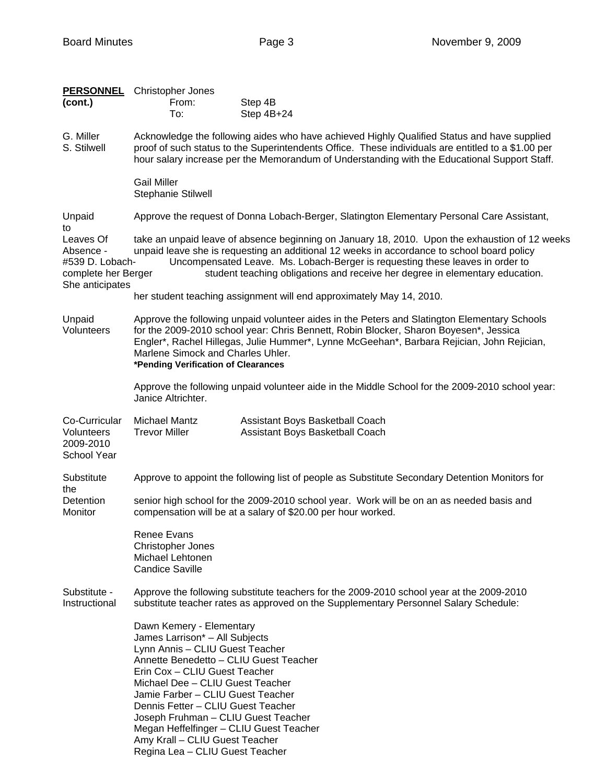| <b>PERSONNEL</b><br>(cont.)                                                         | <b>Christopher Jones</b><br>From:<br>To:                                                                                                                                                                                                                                                                                                                                                                                                       | Step 4B<br>Step 4B+24                                                                                                                                                                                                                                                               |  |  |  |
|-------------------------------------------------------------------------------------|------------------------------------------------------------------------------------------------------------------------------------------------------------------------------------------------------------------------------------------------------------------------------------------------------------------------------------------------------------------------------------------------------------------------------------------------|-------------------------------------------------------------------------------------------------------------------------------------------------------------------------------------------------------------------------------------------------------------------------------------|--|--|--|
| G. Miller<br>S. Stilwell                                                            | Acknowledge the following aides who have achieved Highly Qualified Status and have supplied<br>proof of such status to the Superintendents Office. These individuals are entitled to a \$1.00 per<br>hour salary increase per the Memorandum of Understanding with the Educational Support Staff.                                                                                                                                              |                                                                                                                                                                                                                                                                                     |  |  |  |
|                                                                                     | <b>Gail Miller</b><br><b>Stephanie Stilwell</b>                                                                                                                                                                                                                                                                                                                                                                                                |                                                                                                                                                                                                                                                                                     |  |  |  |
| Unpaid<br>to                                                                        |                                                                                                                                                                                                                                                                                                                                                                                                                                                | Approve the request of Donna Lobach-Berger, Slatington Elementary Personal Care Assistant,                                                                                                                                                                                          |  |  |  |
| Leaves Of<br>Absence -<br>#539 D. Lobach-<br>complete her Berger<br>She anticipates | take an unpaid leave of absence beginning on January 18, 2010. Upon the exhaustion of 12 weeks<br>unpaid leave she is requesting an additional 12 weeks in accordance to school board policy<br>Uncompensated Leave. Ms. Lobach-Berger is requesting these leaves in order to<br>student teaching obligations and receive her degree in elementary education.                                                                                  |                                                                                                                                                                                                                                                                                     |  |  |  |
|                                                                                     |                                                                                                                                                                                                                                                                                                                                                                                                                                                | her student teaching assignment will end approximately May 14, 2010.                                                                                                                                                                                                                |  |  |  |
| Unpaid<br>Volunteers                                                                | Marlene Simock and Charles Uhler.<br>*Pending Verification of Clearances                                                                                                                                                                                                                                                                                                                                                                       | Approve the following unpaid volunteer aides in the Peters and Slatington Elementary Schools<br>for the 2009-2010 school year: Chris Bennett, Robin Blocker, Sharon Boyesen*, Jessica<br>Engler*, Rachel Hillegas, Julie Hummer*, Lynne McGeehan*, Barbara Rejician, John Rejician, |  |  |  |
|                                                                                     | Janice Altrichter.                                                                                                                                                                                                                                                                                                                                                                                                                             | Approve the following unpaid volunteer aide in the Middle School for the 2009-2010 school year:                                                                                                                                                                                     |  |  |  |
| Co-Curricular<br>Volunteers<br>2009-2010<br>School Year                             | <b>Michael Mantz</b><br><b>Trevor Miller</b>                                                                                                                                                                                                                                                                                                                                                                                                   | Assistant Boys Basketball Coach<br>Assistant Boys Basketball Coach                                                                                                                                                                                                                  |  |  |  |
| Substitute<br>the                                                                   | Approve to appoint the following list of people as Substitute Secondary Detention Monitors for                                                                                                                                                                                                                                                                                                                                                 |                                                                                                                                                                                                                                                                                     |  |  |  |
| Detention<br>Monitor                                                                | senior high school for the 2009-2010 school year. Work will be on an as needed basis and<br>compensation will be at a salary of \$20.00 per hour worked.                                                                                                                                                                                                                                                                                       |                                                                                                                                                                                                                                                                                     |  |  |  |
|                                                                                     | Renee Evans<br><b>Christopher Jones</b><br>Michael Lehtonen<br><b>Candice Saville</b>                                                                                                                                                                                                                                                                                                                                                          |                                                                                                                                                                                                                                                                                     |  |  |  |
| Substitute -<br>Instructional                                                       |                                                                                                                                                                                                                                                                                                                                                                                                                                                | Approve the following substitute teachers for the 2009-2010 school year at the 2009-2010<br>substitute teacher rates as approved on the Supplementary Personnel Salary Schedule:                                                                                                    |  |  |  |
|                                                                                     | Dawn Kemery - Elementary<br>James Larrison* - All Subjects<br>Lynn Annis - CLIU Guest Teacher<br>Annette Benedetto - CLIU Guest Teacher<br>Erin Cox - CLIU Guest Teacher<br>Michael Dee - CLIU Guest Teacher<br>Jamie Farber - CLIU Guest Teacher<br>Dennis Fetter - CLIU Guest Teacher<br>Joseph Fruhman - CLIU Guest Teacher<br>Megan Heffelfinger - CLIU Guest Teacher<br>Amy Krall - CLIU Guest Teacher<br>Regina Lea - CLIU Guest Teacher |                                                                                                                                                                                                                                                                                     |  |  |  |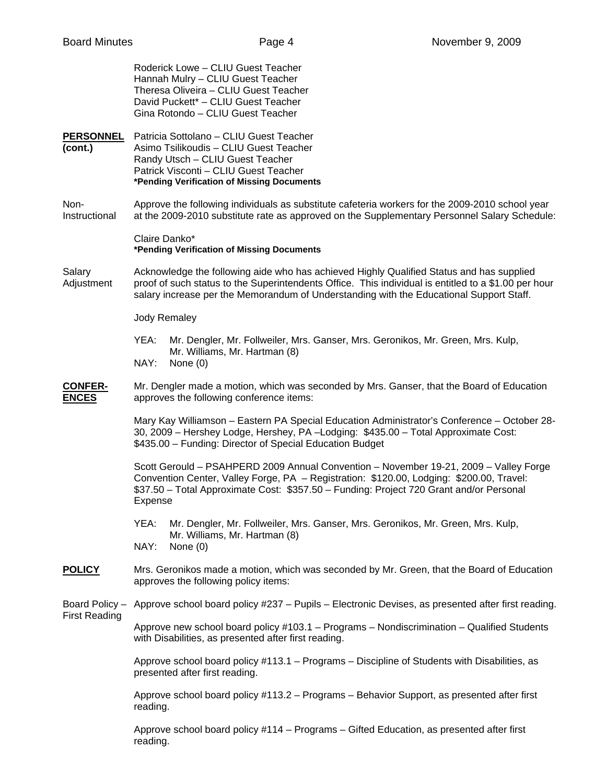|                                | Roderick Lowe - CLIU Guest Teacher<br>Hannah Mulry - CLIU Guest Teacher<br>Theresa Oliveira - CLIU Guest Teacher<br>David Puckett* - CLIU Guest Teacher<br>Gina Rotondo - CLIU Guest Teacher                                                                                                |  |  |  |  |
|--------------------------------|---------------------------------------------------------------------------------------------------------------------------------------------------------------------------------------------------------------------------------------------------------------------------------------------|--|--|--|--|
| <b>PERSONNEL</b><br>(cont.)    | Patricia Sottolano - CLIU Guest Teacher<br>Asimo Tsilikoudis - CLIU Guest Teacher<br>Randy Utsch - CLIU Guest Teacher<br>Patrick Visconti - CLIU Guest Teacher<br>*Pending Verification of Missing Documents                                                                                |  |  |  |  |
| Non-<br>Instructional          | Approve the following individuals as substitute cafeteria workers for the 2009-2010 school year<br>at the 2009-2010 substitute rate as approved on the Supplementary Personnel Salary Schedule:                                                                                             |  |  |  |  |
|                                | Claire Danko*<br>*Pending Verification of Missing Documents                                                                                                                                                                                                                                 |  |  |  |  |
| Salary<br>Adjustment           | Acknowledge the following aide who has achieved Highly Qualified Status and has supplied<br>proof of such status to the Superintendents Office. This individual is entitled to a \$1.00 per hour<br>salary increase per the Memorandum of Understanding with the Educational Support Staff. |  |  |  |  |
|                                | <b>Jody Remaley</b>                                                                                                                                                                                                                                                                         |  |  |  |  |
|                                | YEA:<br>Mr. Dengler, Mr. Follweiler, Mrs. Ganser, Mrs. Geronikos, Mr. Green, Mrs. Kulp,<br>Mr. Williams, Mr. Hartman (8)<br>NAY:<br>None $(0)$                                                                                                                                              |  |  |  |  |
|                                |                                                                                                                                                                                                                                                                                             |  |  |  |  |
| <b>CONFER-</b><br><b>ENCES</b> | Mr. Dengler made a motion, which was seconded by Mrs. Ganser, that the Board of Education<br>approves the following conference items:                                                                                                                                                       |  |  |  |  |
|                                | Mary Kay Williamson - Eastern PA Special Education Administrator's Conference - October 28-<br>30, 2009 - Hershey Lodge, Hershey, PA - Lodging: \$435.00 - Total Approximate Cost:<br>\$435.00 - Funding: Director of Special Education Budget                                              |  |  |  |  |
|                                | Scott Gerould - PSAHPERD 2009 Annual Convention - November 19-21, 2009 - Valley Forge<br>Convention Center, Valley Forge, PA - Registration: \$120.00, Lodging: \$200.00, Travel:<br>\$37.50 - Total Approximate Cost: \$357.50 - Funding: Project 720 Grant and/or Personal<br>Expense     |  |  |  |  |
|                                | YEA:<br>Mr. Dengler, Mr. Follweiler, Mrs. Ganser, Mrs. Geronikos, Mr. Green, Mrs. Kulp,<br>Mr. Williams, Mr. Hartman (8)<br>NAY:<br>None $(0)$                                                                                                                                              |  |  |  |  |
| <b>POLICY</b>                  | Mrs. Geronikos made a motion, which was seconded by Mr. Green, that the Board of Education<br>approves the following policy items:                                                                                                                                                          |  |  |  |  |
| Board Policy -                 | Approve school board policy #237 - Pupils - Electronic Devises, as presented after first reading.                                                                                                                                                                                           |  |  |  |  |
| <b>First Reading</b>           | Approve new school board policy #103.1 - Programs - Nondiscrimination - Qualified Students<br>with Disabilities, as presented after first reading.                                                                                                                                          |  |  |  |  |
|                                | Approve school board policy #113.1 - Programs - Discipline of Students with Disabilities, as<br>presented after first reading.                                                                                                                                                              |  |  |  |  |
|                                | Approve school board policy #113.2 - Programs - Behavior Support, as presented after first<br>reading.                                                                                                                                                                                      |  |  |  |  |
|                                | Approve school board policy #114 - Programs - Gifted Education, as presented after first<br>reading.                                                                                                                                                                                        |  |  |  |  |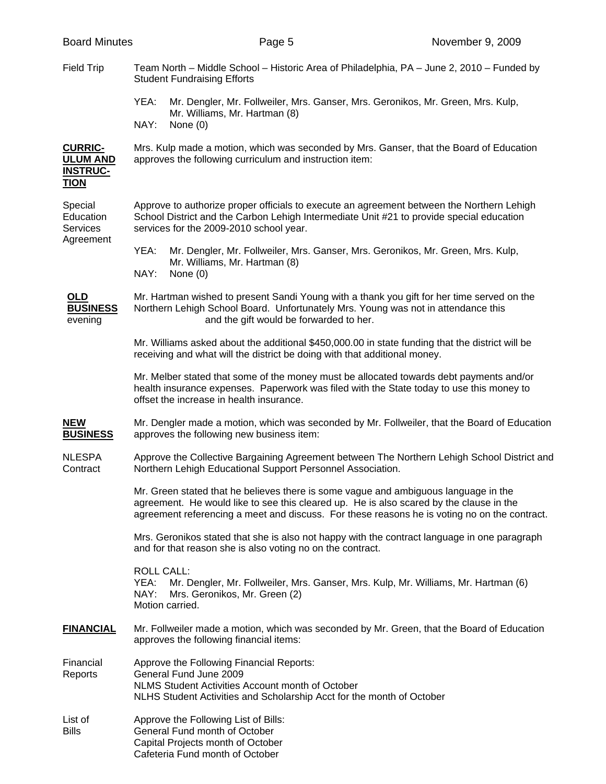| <b>Board Minutes</b>                                                |                                                                                                                                                                                                                                                                                | Page 5                                                                                                                                                                                                                           | November 9, 2009                                                                             |  |  |
|---------------------------------------------------------------------|--------------------------------------------------------------------------------------------------------------------------------------------------------------------------------------------------------------------------------------------------------------------------------|----------------------------------------------------------------------------------------------------------------------------------------------------------------------------------------------------------------------------------|----------------------------------------------------------------------------------------------|--|--|
| <b>Field Trip</b>                                                   | Team North – Middle School – Historic Area of Philadelphia, PA – June 2, 2010 – Funded by<br><b>Student Fundraising Efforts</b>                                                                                                                                                |                                                                                                                                                                                                                                  |                                                                                              |  |  |
|                                                                     | YEA:<br>NAY:                                                                                                                                                                                                                                                                   | Mr. Dengler, Mr. Follweiler, Mrs. Ganser, Mrs. Geronikos, Mr. Green, Mrs. Kulp,<br>Mr. Williams, Mr. Hartman (8)<br>None $(0)$                                                                                                   |                                                                                              |  |  |
| <b>CURRIC-</b><br><b>ULUM AND</b><br><u>INSTRUC-</u><br><u>TION</u> | Mrs. Kulp made a motion, which was seconded by Mrs. Ganser, that the Board of Education<br>approves the following curriculum and instruction item:                                                                                                                             |                                                                                                                                                                                                                                  |                                                                                              |  |  |
| Special<br>Education<br>Services<br>Agreement                       |                                                                                                                                                                                                                                                                                | Approve to authorize proper officials to execute an agreement between the Northern Lehigh<br>School District and the Carbon Lehigh Intermediate Unit #21 to provide special education<br>services for the 2009-2010 school year. |                                                                                              |  |  |
|                                                                     | YEA:<br>NAY:                                                                                                                                                                                                                                                                   | Mr. Dengler, Mr. Follweiler, Mrs. Ganser, Mrs. Geronikos, Mr. Green, Mrs. Kulp,<br>Mr. Williams, Mr. Hartman (8)<br>None $(0)$                                                                                                   |                                                                                              |  |  |
| <b>OLD</b><br><b>BUSINESS</b><br>evening                            |                                                                                                                                                                                                                                                                                | Mr. Hartman wished to present Sandi Young with a thank you gift for her time served on the<br>Northern Lehigh School Board. Unfortunately Mrs. Young was not in attendance this<br>and the gift would be forwarded to her.       |                                                                                              |  |  |
|                                                                     | Mr. Williams asked about the additional \$450,000.00 in state funding that the district will be<br>receiving and what will the district be doing with that additional money.                                                                                                   |                                                                                                                                                                                                                                  |                                                                                              |  |  |
|                                                                     | Mr. Melber stated that some of the money must be allocated towards debt payments and/or<br>health insurance expenses. Paperwork was filed with the State today to use this money to<br>offset the increase in health insurance.                                                |                                                                                                                                                                                                                                  |                                                                                              |  |  |
| NEW<br><u>BUSINESS</u>                                              |                                                                                                                                                                                                                                                                                | approves the following new business item:                                                                                                                                                                                        | Mr. Dengler made a motion, which was seconded by Mr. Follweiler, that the Board of Education |  |  |
| NLESPA<br>Contract                                                  |                                                                                                                                                                                                                                                                                | Northern Lehigh Educational Support Personnel Association.                                                                                                                                                                       | Approve the Collective Bargaining Agreement between The Northern Lehigh School District and  |  |  |
|                                                                     | Mr. Green stated that he believes there is some vague and ambiguous language in the<br>agreement. He would like to see this cleared up. He is also scared by the clause in the<br>agreement referencing a meet and discuss. For these reasons he is voting no on the contract. |                                                                                                                                                                                                                                  |                                                                                              |  |  |
|                                                                     | Mrs. Geronikos stated that she is also not happy with the contract language in one paragraph<br>and for that reason she is also voting no on the contract.                                                                                                                     |                                                                                                                                                                                                                                  |                                                                                              |  |  |
|                                                                     | <b>ROLL CALL:</b><br>YEA:<br>NAY:                                                                                                                                                                                                                                              | Mr. Dengler, Mr. Follweiler, Mrs. Ganser, Mrs. Kulp, Mr. Williams, Mr. Hartman (6)<br>Mrs. Geronikos, Mr. Green (2)<br>Motion carried.                                                                                           |                                                                                              |  |  |
| <u>FINANCIAL</u>                                                    | Mr. Follweiler made a motion, which was seconded by Mr. Green, that the Board of Education<br>approves the following financial items:                                                                                                                                          |                                                                                                                                                                                                                                  |                                                                                              |  |  |
| Financial<br>Reports                                                |                                                                                                                                                                                                                                                                                | Approve the Following Financial Reports:<br>General Fund June 2009<br>NLMS Student Activities Account month of October<br>NLHS Student Activities and Scholarship Acct for the month of October                                  |                                                                                              |  |  |
| List of<br>Bills                                                    |                                                                                                                                                                                                                                                                                | Approve the Following List of Bills:<br>General Fund month of October<br>Capital Projects month of October<br>Cafeteria Fund month of October                                                                                    |                                                                                              |  |  |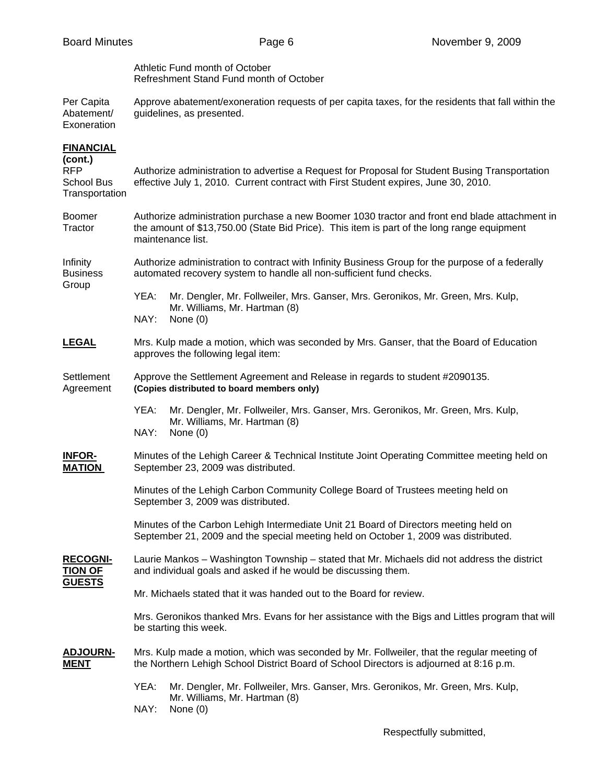Athletic Fund month of October Refreshment Stand Fund month of October

Per Capita Approve abatement/exoneration requests of per capita taxes, for the residents that fall within the Abatement/ guidelines, as presented. guidelines, as presented. Exoneration

## **FINANCIAL**

| (cont.)<br>RFP<br><b>School Bus</b><br>Transportation | Authorize administration to advertise a Request for Proposal for Student Busing Transportation<br>effective July 1, 2010. Current contract with First Student expires, June 30, 2010.                            |  |  |  |  |
|-------------------------------------------------------|------------------------------------------------------------------------------------------------------------------------------------------------------------------------------------------------------------------|--|--|--|--|
| <b>Boomer</b><br>Tractor                              | Authorize administration purchase a new Boomer 1030 tractor and front end blade attachment in<br>the amount of \$13,750.00 (State Bid Price). This item is part of the long range equipment<br>maintenance list. |  |  |  |  |
| Infinity<br><b>Business</b>                           | Authorize administration to contract with Infinity Business Group for the purpose of a federally<br>automated recovery system to handle all non-sufficient fund checks.                                          |  |  |  |  |
| Group                                                 | YEA:<br>Mr. Dengler, Mr. Follweiler, Mrs. Ganser, Mrs. Geronikos, Mr. Green, Mrs. Kulp,<br>Mr. Williams, Mr. Hartman (8)<br>NAY:<br>None $(0)$                                                                   |  |  |  |  |
| <b>LEGAL</b>                                          | Mrs. Kulp made a motion, which was seconded by Mrs. Ganser, that the Board of Education<br>approves the following legal item:                                                                                    |  |  |  |  |
| Settlement<br>Agreement                               | Approve the Settlement Agreement and Release in regards to student #2090135.<br>(Copies distributed to board members only)                                                                                       |  |  |  |  |
|                                                       | YEA:<br>Mr. Dengler, Mr. Follweiler, Mrs. Ganser, Mrs. Geronikos, Mr. Green, Mrs. Kulp,<br>Mr. Williams, Mr. Hartman (8)<br>NAY:<br>None $(0)$                                                                   |  |  |  |  |
| <b>INFOR-</b><br><b>MATION</b>                        | Minutes of the Lehigh Career & Technical Institute Joint Operating Committee meeting held on<br>September 23, 2009 was distributed.                                                                              |  |  |  |  |
|                                                       | Minutes of the Lehigh Carbon Community College Board of Trustees meeting held on<br>September 3, 2009 was distributed.                                                                                           |  |  |  |  |
|                                                       | Minutes of the Carbon Lehigh Intermediate Unit 21 Board of Directors meeting held on<br>September 21, 2009 and the special meeting held on October 1, 2009 was distributed.                                      |  |  |  |  |
| <b>RECOGNI-</b><br><b>TION OF</b>                     | Laurie Mankos - Washington Township - stated that Mr. Michaels did not address the district<br>and individual goals and asked if he would be discussing them.                                                    |  |  |  |  |
| <b>GUESTS</b>                                         | Mr. Michaels stated that it was handed out to the Board for review.                                                                                                                                              |  |  |  |  |
|                                                       | Mrs. Geronikos thanked Mrs. Evans for her assistance with the Bigs and Littles program that will<br>be starting this week.                                                                                       |  |  |  |  |
| <b>ADJOURN-</b><br><b>MENT</b>                        | Mrs. Kulp made a motion, which was seconded by Mr. Follweiler, that the regular meeting of<br>the Northern Lehigh School District Board of School Directors is adjourned at 8:16 p.m.                            |  |  |  |  |
|                                                       | YEA:<br>Mr. Dengler, Mr. Follweiler, Mrs. Ganser, Mrs. Geronikos, Mr. Green, Mrs. Kulp,<br>Mr. Williams, Mr. Hartman (8)<br>NAY:<br>None $(0)$                                                                   |  |  |  |  |